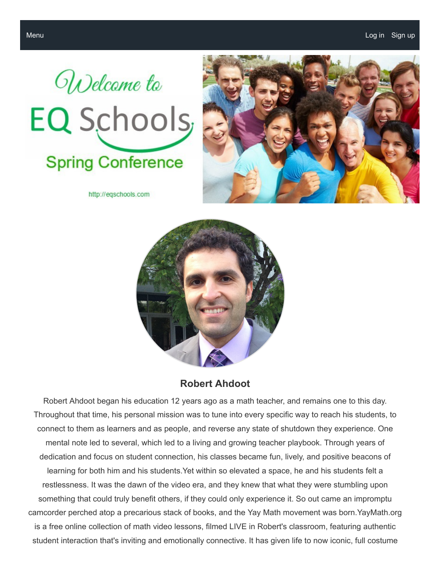



http://eqschools.com



## **Robert Ahdoot**

Robert Ahdoot began his education 12 years ago as a math teacher, and remains one to this day. Throughout that time, his personal mission was to tune into every specific way to reach his students, to connect to them as learners and as people, and reverse any state of shutdown they experience. One mental note led to several, which led to a living and growing teacher playbook. Through years of dedication and focus on student connection, his classes became fun, lively, and positive beacons of learning for both him and his students.Yet within so elevated a space, he and his students felt a restlessness. It was the dawn of the video era, and they knew that what they were stumbling upon something that could truly benefit others, if they could only experience it. So out came an impromptu camcorder perched atop a precarious stack of books, and the Yay Math movement was born.YayMath.org is a free online collection of math video lessons, filmed LIVE in Robert's classroom, featuring authentic student interaction that's inviting and emotionally connective. It has given life to now iconic, full costume